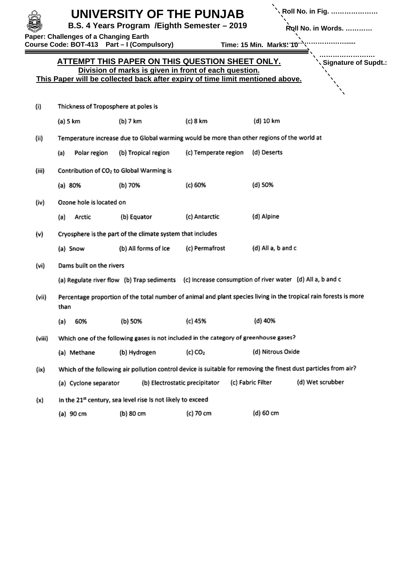